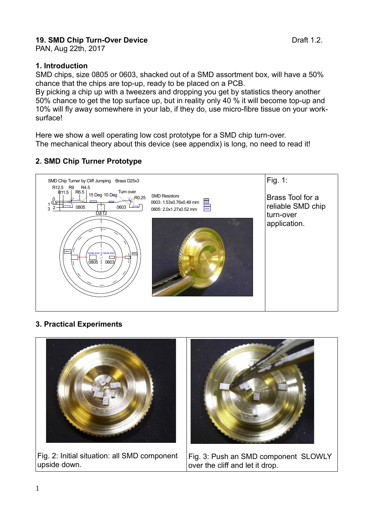# **19. SMD Chip Turn-Over Device**  Draft 1.2.

PAN, Aug 22th, 2017

#### **1. Introduction**

SMD chips, size 0805 or 0603, shacked out of a SMD assortment box, will have a 50% chance that the chips are top-up, ready to be placed on a PCB.

By picking a chip up with a tweezers and dropping you get by statistics theory another 50% chance to get the top surface up, but in reality only 40 % it will become top-up and 10% will fly away somewhere in your lab, if they do, use micro-fibre tissue on your worksurface!

Here we show a well operating low cost prototype for a SMD chip turn-over. The mechanical theory about this device (see appendix) is long, no need to read it!

## **2. SMD Chip Turner Prototype**



### **3. Practical Experiments**